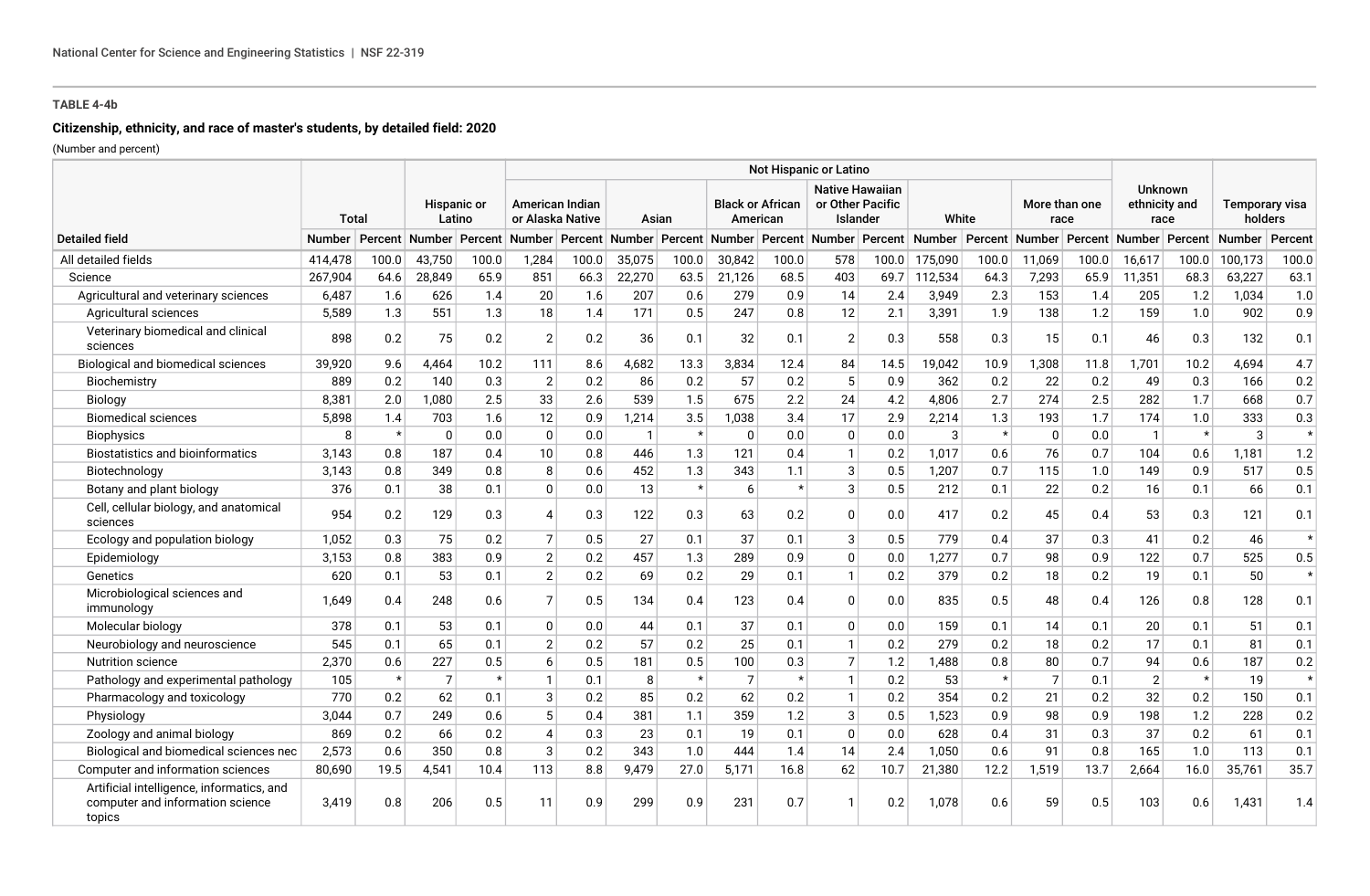# **Citizenship, ethnicity, and race of master's students, by detailed field: 2020**

|                                                                                         |              |         |                       |                     |                                            |       |             |         |                         |          | Not Hispanic or Latino                                 |       |                                                                                           |         |                       |       |                                         |         |                           |         |
|-----------------------------------------------------------------------------------------|--------------|---------|-----------------------|---------------------|--------------------------------------------|-------|-------------|---------|-------------------------|----------|--------------------------------------------------------|-------|-------------------------------------------------------------------------------------------|---------|-----------------------|-------|-----------------------------------------|---------|---------------------------|---------|
|                                                                                         | <b>Total</b> |         | Hispanic or<br>Latino |                     | <b>American Indian</b><br>or Alaska Native |       | Asian       |         | <b>Black or African</b> | American | <b>Native Hawaiian</b><br>or Other Pacific<br>Islander |       | White                                                                                     |         | More than one<br>race |       | <b>Unknown</b><br>ethnicity and<br>race |         | Temporary visa<br>holders |         |
| <b>Detailed field</b>                                                                   | Number       | Percent |                       | ∣Number ∣ Percent ∣ |                                            |       |             |         |                         |          |                                                        |       | Number Percent Number Percent Number Percent Number Percent Number Percent Number Percent |         |                       |       |                                         |         | Number Percent Number     | Percent |
| All detailed fields                                                                     | 414,478      | 100.0   | 43,750                | 100.0               | 1,284                                      | 100.0 | 35,075      | 100.0   | 30,842                  | 100.0    | 578                                                    | 100.0 | 175,090                                                                                   | 100.0   | 11,069                | 100.0 | 16,617                                  | 100.0   | 100,173                   | 100.0   |
| Science                                                                                 | 267,904      | 64.6    | 28,849                | 65.9                | 851                                        | 66.3  | 22,270      | 63.5    | 21,126                  | 68.5     | 403                                                    | 69.7  | 112,534                                                                                   | 64.3    | 7,293                 | 65.9  | 11,351                                  | 68.3    | 63,227                    | 63.1    |
| Agricultural and veterinary sciences                                                    | 6,487        | 1.6     | 626                   | 1.4                 | 20                                         | 1.6   | 207         | 0.6     | 279                     | 0.9      | 14                                                     | 2.4   | 3,949                                                                                     | 2.3     | 153                   | 1.4   | 205                                     | 1.2     | 1,034                     | 1.0     |
| Agricultural sciences                                                                   | 5,589        | 1.3     | 551                   | 1.3                 | 18                                         | 1.4   | 171         | 0.5     | 247                     | 0.8      | 12                                                     | 2.1   | 3,391                                                                                     | 1.9     | 138                   | 1.2   | 159                                     | 1.0     | 902                       | 0.9     |
| Veterinary biomedical and clinical<br>sciences                                          | 898          | 0.2     | 75                    | 0.2                 | 2                                          | 0.2   | 36          | 0.1     | 32                      | 0.1      | $\overline{2}$                                         | 0.3   | 558                                                                                       | 0.3     | 15                    | 0.1   | 46                                      | 0.3     | 132                       | 0.1     |
| Biological and biomedical sciences                                                      | 39,920       | 9.6     | 4.464                 | 10.2                | 111                                        | 8.6   | 4,682       | 13.3    | 3,834                   | 12.4     | 84                                                     | 14.5  | 19,042                                                                                    | 10.9    | 1,308                 | 11.8  | 1,701                                   | 10.2    | 4,694                     | 4.7     |
| Biochemistry                                                                            | 889          | 0.2     | 140                   | 0.3                 | $\sqrt{2}$                                 | 0.2   | 86          | 0.2     | 57                      | 0.2      | 5                                                      | 0.9   | 362                                                                                       | 0.2     | 22                    | 0.2   | 49                                      | 0.3     | 166                       | 0.2     |
| Biology                                                                                 | 8,381        | 2.0     | 1,080                 | 2.5                 | 33                                         | 2.6   | 539         | 1.5     | 675                     | 2.2      | 24                                                     | 4.2   | 4,806                                                                                     | 2.7     | 274                   | 2.5   | 282                                     | 1.7     | 668                       | 0.7     |
| <b>Biomedical sciences</b>                                                              | 5,898        | 1.4     | 703                   | 1.6                 | 12                                         | 0.9   | 1,214       | 3.5     | 1,038                   | 3.4      | 17                                                     | 2.9   | 2,214                                                                                     | 1.3     | 193                   | 1.7   | 174                                     | 1.0     | 333                       | 0.3     |
| <b>Biophysics</b>                                                                       | 8            | $\star$ | $\Omega$              | 0.0                 | $\mathbf 0$                                | 0.0   | $\mathbf 1$ | $\star$ | $\Omega$                | 0.0      | $\mathbf{0}$                                           | 0.0   | 3                                                                                         | $\star$ | $\mathbf{0}$          | 0.0   | $\overline{1}$                          | $\star$ | 3                         | $\star$ |
| <b>Biostatistics and bioinformatics</b>                                                 | 3,143        | 0.8     | 187                   | 0.4                 | 10                                         | 0.8   | 446         | 1.3     | 121                     | 0.4      | $\mathbf{1}$                                           | 0.2   | 1,017                                                                                     | 0.6     | 76                    | 0.7   | 104                                     | 0.6     | 1,181                     | 1.2     |
| Biotechnology                                                                           | 3.143        | 0.8     | 349                   | 0.8                 | 8                                          | 0.6   | 452         | 1.3     | 343                     | 1.1      | 3                                                      | 0.5   | 1,207                                                                                     | 0.7     | 115                   | 1.0   | 149                                     | 0.9     | 517                       | 0.5     |
| Botany and plant biology                                                                | 376          | 0.1     | 38                    | 0.1                 | $\Omega$                                   | 0.0   | 13          | $\star$ | $\sqrt{2}$              | $\star$  | 3                                                      | 0.5   | 212                                                                                       | 0.1     | 22                    | 0.2   | 16                                      | 0.1     | 66                        | 0.1     |
| Cell, cellular biology, and anatomical<br>sciences                                      | 954          | 0.2     | 129                   | 0.3                 | 4                                          | 0.3   | 122         | 0.3     | 63                      | 0.2      | $\mathbf{0}$                                           | 0.0   | 417                                                                                       | 0.2     | 45                    | 0.4   | 53                                      | 0.3     | 121                       | 0.1     |
| Ecology and population biology                                                          | 1,052        | 0.3     | 75                    | 0.2                 | $\overline{7}$                             | 0.5   | 27          | 0.1     | 37                      | 0.1      | 3                                                      | 0.5   | 779                                                                                       | 0.4     | 37                    | 0.3   | 41                                      | 0.2     | 46                        | $\star$ |
| Epidemiology                                                                            | 3,153        | 0.8     | 383                   | 0.9                 | $\mathbf{2}$                               | 0.2   | 457         | 1.3     | 289                     | 0.9      | $\mathbf{0}$                                           | 0.0   | 1,277                                                                                     | 0.7     | 98                    | 0.9   | 122                                     | 0.7     | 525                       | 0.5     |
| Genetics                                                                                | 620          | 0.1     | 53                    | 0.1                 | $\overline{2}$                             | 0.2   | 69          | 0.2     | 29                      | 0.1      | $\mathbf{1}$                                           | 0.2   | 379                                                                                       | 0.2     | 18                    | 0.2   | 19                                      | 0.1     | 50                        | $\star$ |
| Microbiological sciences and<br>immunology                                              | 1,649        | 0.4     | 248                   | 0.6                 | $\overline{7}$                             | 0.5   | 134         | 0.4     | 123                     | 0.4      | $\Omega$                                               | 0.0   | 835                                                                                       | 0.5     | 48                    | 0.4   | 126                                     | 0.8     | 128                       | 0.1     |
| Molecular biology                                                                       | 378          | 0.1     | 53                    | 0.1                 | $\Omega$                                   | 0.0   | 44          | 0.1     | 37                      | 0.1      | $\mathbf{0}$                                           | 0.0   | 159                                                                                       | 0.1     | 14                    | 0.1   | 20                                      | 0.1     | 51                        | 0.1     |
| Neurobiology and neuroscience                                                           | 545          | 0.1     | 65                    | 0.1                 | $\overline{2}$                             | 0.2   | 57          | 0.2     | 25                      | 0.1      | $\mathbf{1}$                                           | 0.2   | 279                                                                                       | 0.2     | 18                    | 0.2   | 17                                      | 0.1     | 81                        | 0.1     |
| <b>Nutrition science</b>                                                                | 2,370        | 0.6     | 227                   | 0.5                 | 6                                          | 0.5   | 181         | 0.5     | 100                     | 0.3      | $\overline{7}$                                         | 1.2   | 1,488                                                                                     | 0.8     | 80                    | 0.7   | 94                                      | 0.6     | 187                       | 0.2     |
| Pathology and experimental pathology                                                    | 105          | $\star$ | $\overline{7}$        | $\star$             |                                            | 0.1   | 8           | $\star$ | $\overline{7}$          | $\star$  | $\mathbf{1}$                                           | 0.2   | 53                                                                                        | $\star$ | $\overline{7}$        | 0.1   | $\overline{2}$                          | $\star$ | 19                        | $\star$ |
| Pharmacology and toxicology                                                             | 770          | 0.2     | 62                    | 0.1                 | 3                                          | 0.2   | 85          | 0.2     | 62                      | 0.2      | $\mathbf{1}$                                           | 0.2   | 354                                                                                       | 0.2     | 21                    | 0.2   | 32                                      | 0.2     | 150                       | 0.1     |
| Physiology                                                                              | 3,044        | 0.7     | 249                   | 0.6                 | 5                                          | 0.4   | 381         | 1.1     | 359                     | 1.2      | 3                                                      | 0.5   | 1,523                                                                                     | 0.9     | 98                    | 0.9   | 198                                     | 1.2     | 228                       | $0.2\,$ |
| Zoology and animal biology                                                              | 869          | 0.2     | 66                    | 0.2                 | 4'                                         | 0.3   | 23          | 0.1     | 19                      | 0.1      | $\mathbf{0}$                                           | 0.0   | 628                                                                                       | 0.4     | 31                    | 0.3   | 37                                      | 0.2     | 61                        | 0.1     |
| Biological and biomedical sciences nec                                                  | 2,573        | 0.6     | 350                   | 0.8                 | 3                                          | 0.2   | 343         | 1.0     | 444                     | 1.4      | 14                                                     | 2.4   | 1,050                                                                                     | 0.6     | 91                    | 0.8   | 165                                     | 1.0     | 113                       | 0.1     |
| Computer and information sciences                                                       | 80,690       | 19.5    | 4,541                 | 10.4                | 113                                        | 8.8   | 9,479       | 27.0    | 5,171                   | 16.8     | 62                                                     | 10.7  | 21,380                                                                                    | 12.2    | 1,519                 | 13.7  | 2,664                                   | 16.0    | 35,761                    | 35.7    |
| Artificial intelligence, informatics, and<br>computer and information science<br>topics | 3.419        | 0.8     | 206                   | 0.5                 | 11                                         | 0.9   | 299         | 0.9     | 231                     | 0.7      |                                                        | 0.2   | 1,078                                                                                     | 0.6     | 59                    | 0.5   | 103                                     | 0.6     | 1,431                     | 1.4     |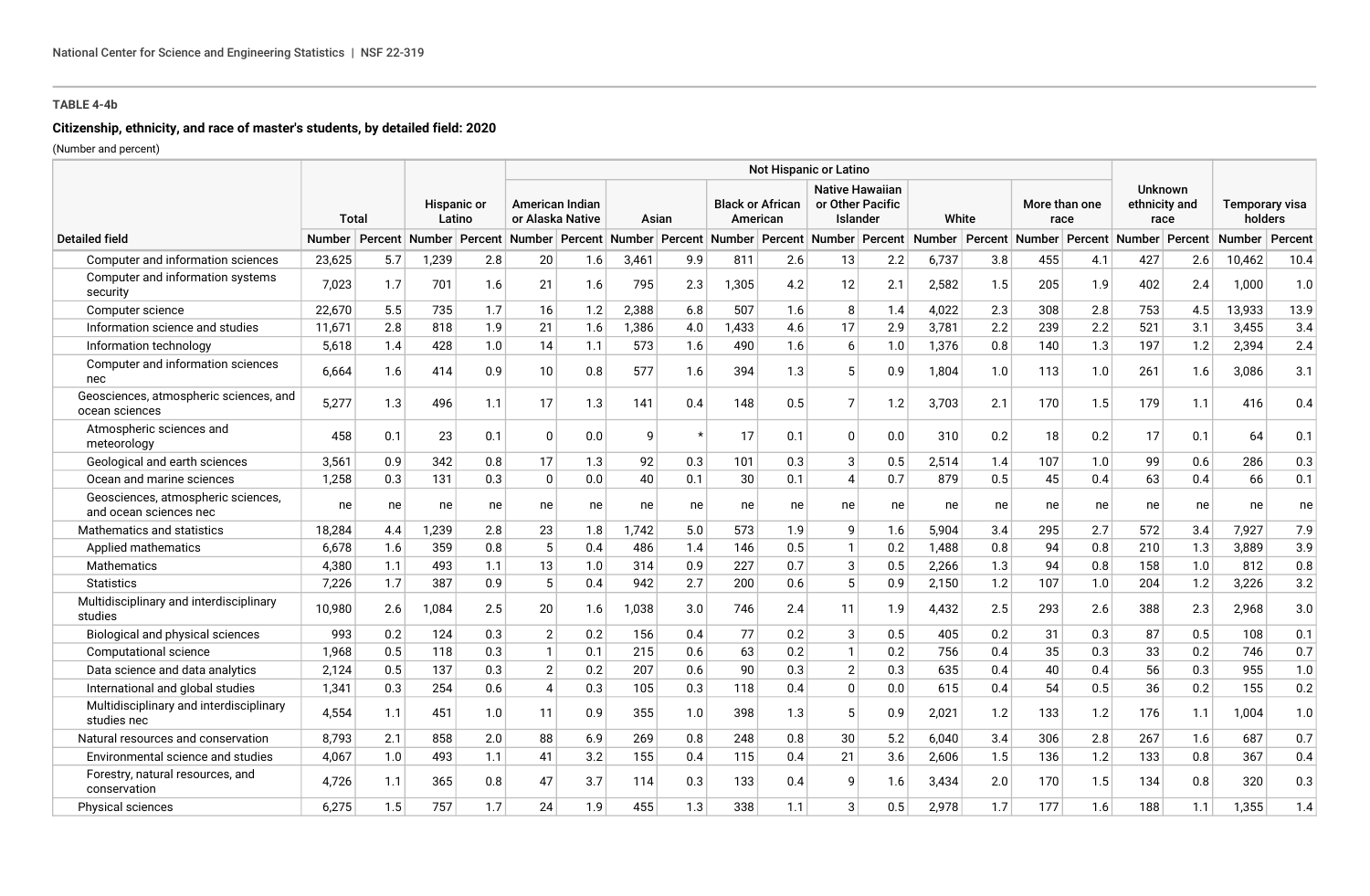# **Citizenship, ethnicity, and race of master's students, by detailed field: 2020**

|                                                              |               |              |       |                       |                 |                                     |       |         |       |                                     | Not Hispanic or Latino |                                                        |                                                                                                                                                                      |       |     |                       |     |                                         |        |                           |
|--------------------------------------------------------------|---------------|--------------|-------|-----------------------|-----------------|-------------------------------------|-------|---------|-------|-------------------------------------|------------------------|--------------------------------------------------------|----------------------------------------------------------------------------------------------------------------------------------------------------------------------|-------|-----|-----------------------|-----|-----------------------------------------|--------|---------------------------|
|                                                              |               | <b>Total</b> |       | Hispanic or<br>Latino |                 | American Indian<br>or Alaska Native |       | Asian   |       | <b>Black or African</b><br>American |                        | <b>Native Hawaiian</b><br>or Other Pacific<br>Islander |                                                                                                                                                                      | White |     | More than one<br>race |     | <b>Unknown</b><br>ethnicity and<br>race |        | Temporary visa<br>holders |
| <b>Detailed field</b>                                        | <b>Number</b> |              |       |                       |                 |                                     |       |         |       |                                     |                        |                                                        | Percent Number Percent Number Percent Number Percent Number Percent Number Percent Number Percent Number Percent Number Percent Number Percent Number Percent Number |       |     |                       |     |                                         |        | Percent                   |
| Computer and information sciences                            | 23,625        | 5.7          | 1,239 | 2.8                   | 20              | 1.6                                 | 3,461 | 9.9     | 811   | 2.6                                 | 13                     | 2.2                                                    | 6,737                                                                                                                                                                | 3.8   | 455 | 4.1                   | 427 | 2.6                                     | 10,462 | 10.4                      |
| Computer and information systems<br>security                 | 7,023         | 1.7          | 701   | 1.6                   | 21              | 1.6                                 | 795   | 2.3     | 1,305 | 4.2                                 | 12                     | 2.1                                                    | 2,582                                                                                                                                                                | 1.5   | 205 | 1.9                   | 402 | 2.4                                     | 1,000  | 1.0                       |
| Computer science                                             | 22,670        | 5.5          | 735   | 1.7                   | 16              | 1.2                                 | 2,388 | 6.8     | 507   | 1.6                                 | 8                      | 1.4                                                    | 4,022                                                                                                                                                                | 2.3   | 308 | 2.8                   | 753 | 4.5                                     | 13,933 | 13.9                      |
| Information science and studies                              | 11,671        | 2.8          | 818   | 1.9                   | 21              | 1.6                                 | 1,386 | 4.0     | 1,433 | 4.6                                 | 17                     | 2.9                                                    | 3,781                                                                                                                                                                | 2.2   | 239 | 2.2                   | 521 | 3.1                                     | 3,455  | 3.4                       |
| Information technology                                       | 5,618         | 1.4          | 428   | 1.0                   | 14              | 1.1                                 | 573   | 1.6     | 490   | 1.6                                 | 6                      | 1.0                                                    | 1,376                                                                                                                                                                | 0.8   | 140 | 1.3                   | 197 | 1.2                                     | 2,394  | 2.4                       |
| Computer and information sciences<br>nec                     | 6,664         | 1.6          | 414   | 0.9                   | 10              | 0.8                                 | 577   | 1.6     | 394   | 1.3                                 |                        | 0.9                                                    | 1.804                                                                                                                                                                | 1.0   | 113 | 1.0                   | 261 | 1.6                                     | 3.086  | 3.1                       |
| Geosciences, atmospheric sciences, and<br>ocean sciences     | 5,277         | 1.3          | 496   | 1.1                   | 17              | 1.3                                 | 141   | 0.4     | 148   | 0.5                                 | 7                      | 1.2                                                    | 3,703                                                                                                                                                                | 2.1   | 170 | 1.5                   | 179 | 1.1                                     | 416    | 0.4                       |
| Atmospheric sciences and<br>meteorology                      | 458           | 0.1          | 23    | 0.1                   | $\Omega$        | 0.0                                 | 9     | $\star$ | 17    | 0.1                                 | $\Omega$               | 0.0                                                    | 310                                                                                                                                                                  | 0.2   | 18  | 0.2                   | 17  | 0.1                                     | 64     | 0.1                       |
| Geological and earth sciences                                | 3,561         | 0.9          | 342   | 0.8                   | 17              | 1.3                                 | 92    | 0.3     | 101   | 0.3                                 | 3                      | 0.5                                                    | 2,514                                                                                                                                                                | 1.4   | 107 | 1.0                   | 99  | 0.6                                     | 286    | 0.3                       |
| Ocean and marine sciences                                    | 1,258         | 0.3          | 131   | 0.3                   | $\overline{0}$  | 0.0                                 | 40    | 0.1     | 30    | 0.1                                 | $\overline{4}$         | 0.7                                                    | 879                                                                                                                                                                  | 0.5   | 45  | 0.4                   | 63  | 0.4                                     | 66     | 0.1                       |
| Geosciences, atmospheric sciences,<br>and ocean sciences nec | ne            | ne           | ne    | ne                    | ne              | ne                                  | ne    | ne      | ne    | ne                                  | ne                     | ne                                                     | ne                                                                                                                                                                   | ne    | ne  | ne                    | ne  | ne                                      | ne     | ne                        |
| Mathematics and statistics                                   | 18,284        | 4.4          | 1,239 | 2.8                   | 23              | 1.8                                 | 1,742 | 5.0     | 573   | 1.9                                 | 9                      | 1.6                                                    | 5,904                                                                                                                                                                | 3.4   | 295 | 2.7                   | 572 | 3.4                                     | 7,927  | 7.9                       |
| Applied mathematics                                          | 6,678         | 1.6          | 359   | 0.8                   | $5\phantom{.0}$ | 0.4                                 | 486   | 1.4     | 146   | 0.5                                 | $\mathbf{1}$           | 0.2                                                    | 1,488                                                                                                                                                                | 0.8   | 94  | 0.8                   | 210 | 1.3                                     | 3,889  | 3.9                       |
| <b>Mathematics</b>                                           | 4,380         | 1.1          | 493   | 1.1                   | 13              | 1.0                                 | 314   | 0.9     | 227   | 0.7                                 | 3                      | 0.5                                                    | 2,266                                                                                                                                                                | 1.3   | 94  | 0.8                   | 158 | 1.0                                     | 812    | 0.8                       |
| <b>Statistics</b>                                            | 7,226         | 1.7          | 387   | 0.9                   | 5               | 0.4                                 | 942   | 2.7     | 200   | 0.6                                 | 5                      | 0.9                                                    | 2,150                                                                                                                                                                | 1.2   | 107 | 1.0                   | 204 | 1.2                                     | 3,226  | 3.2                       |
| Multidisciplinary and interdisciplinary<br>studies           | 10,980        | 2.6          | 1,084 | 2.5                   | 20              | 1.6                                 | 1,038 | 3.0     | 746   | 2.4                                 | 11                     | 1.9                                                    | 4,432                                                                                                                                                                | 2.5   | 293 | 2.6                   | 388 | 2.3                                     | 2,968  | 3.0                       |
| Biological and physical sciences                             | 993           | 0.2          | 124   | 0.3                   | $\overline{2}$  | 0.2                                 | 156   | 0.4     | 77    | 0.2                                 | 3                      | 0.5                                                    | 405                                                                                                                                                                  | 0.2   | 31  | 0.3                   | 87  | 0.5                                     | 108    | 0.1                       |
| Computational science                                        | 1,968         | 0.5          | 118   | 0.3                   | $\mathbf{1}$    | 0.1                                 | 215   | 0.6     | 63    | 0.2                                 | $\mathbf{1}$           | 0.2                                                    | 756                                                                                                                                                                  | 0.4   | 35  | 0.3                   | 33  | 0.2                                     | 746    | 0.7                       |
| Data science and data analytics                              | 2,124         | 0.5          | 137   | 0.3                   | $\overline{2}$  | 0.2                                 | 207   | 0.6     | 90    | 0.3                                 | 2                      | 0.3                                                    | 635                                                                                                                                                                  | 0.4   | 40  | 0.4                   | 56  | 0.3                                     | 955    | 1.0                       |
| International and global studies                             | 1,341         | 0.3          | 254   | 0.6                   | 4               | 0.3                                 | 105   | 0.3     | 118   | 0.4                                 | $\mathbf{0}$           | 0.0                                                    | 615                                                                                                                                                                  | 0.4   | 54  | 0.5                   | 36  | 0.2                                     | 155    | 0.2                       |
| Multidisciplinary and interdisciplinary<br>studies nec       | 4,554         | 1.1          | 451   | 1.0                   | 11              | 0.9                                 | 355   | 1.0     | 398   | 1.3                                 | 5                      | 0.9                                                    | 2.021                                                                                                                                                                | 1.2   | 133 | 1.2                   | 176 | 1.1                                     | 1.004  | 1.0                       |
| Natural resources and conservation                           | 8,793         | 2.1          | 858   | 2.0                   | 88              | 6.9                                 | 269   | 0.8     | 248   | 0.8                                 | 30                     | 5.2                                                    | 6,040                                                                                                                                                                | 3.4   | 306 | 2.8                   | 267 | 1.6                                     | 687    | 0.7                       |
| Environmental science and studies                            | 4,067         | 1.0          | 493   | 1.1                   | 41              | 3.2                                 | 155   | 0.4     | 115   | 0.4                                 | 21                     | 3.6                                                    | 2,606                                                                                                                                                                | 1.5   | 136 | 1.2                   | 133 | 0.8                                     | 367    | 0.4                       |
| Forestry, natural resources, and<br>conservation             | 4,726         | 1.1          | 365   | 0.8                   | 47              | 3.7                                 | 114   | 0.3     | 133   | 0.4                                 | 9                      | 1.6                                                    | 3,434                                                                                                                                                                | 2.0   | 170 | 1.5                   | 134 | 0.8                                     | 320    | 0.3                       |
| <b>Physical sciences</b>                                     | 6,275         | 1.5          | 757   | 1.7                   | 24              | 1.9                                 | 455   | 1.3     | 338   | 1.1                                 | 3                      | 0.5                                                    | 2,978                                                                                                                                                                | 1.7   | 177 | 1.6                   | 188 | 1.1                                     | 1,355  | 1.4                       |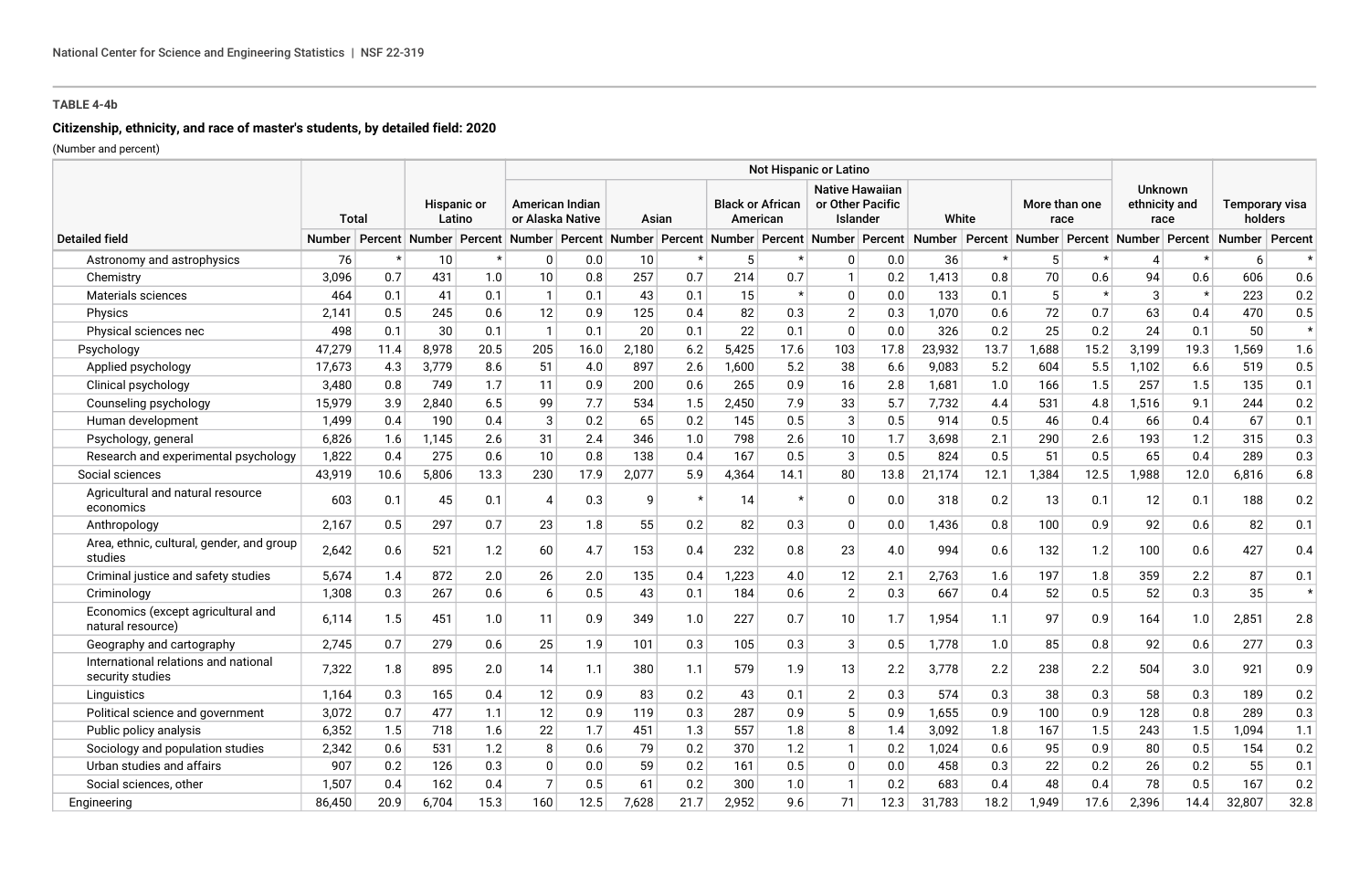## **Citizenship, ethnicity, and race of master's students, by detailed field: 2020**

|                                                          | Not Hispanic or Latino |                                                                                                                                                                      |       |                              |                  |                                            |       |         |       |                                     |                |                                                        |        |       |       |                       |       |                                  |                 |                           |  |
|----------------------------------------------------------|------------------------|----------------------------------------------------------------------------------------------------------------------------------------------------------------------|-------|------------------------------|------------------|--------------------------------------------|-------|---------|-------|-------------------------------------|----------------|--------------------------------------------------------|--------|-------|-------|-----------------------|-------|----------------------------------|-----------------|---------------------------|--|
| <b>Total</b>                                             |                        |                                                                                                                                                                      |       | <b>Hispanic or</b><br>Latino |                  | <b>American Indian</b><br>or Alaska Native |       | Asian   |       | <b>Black or African</b><br>American |                | <b>Native Hawaiian</b><br>or Other Pacific<br>Islander |        | White |       | More than one<br>race |       | Unknown<br>ethnicity and<br>race |                 | Temporary visa<br>holders |  |
| <b>Detailed field</b>                                    | <b>Number</b>          | Percent Number Percent Number Percent Number Percent Number Percent Number Percent Number Percent Number Percent Number Percent Number Percent Number Percent Number |       |                              |                  |                                            |       |         |       |                                     |                |                                                        |        |       |       |                       |       |                                  |                 | Percent                   |  |
| Astronomy and astrophysics                               | 76                     | $\star$                                                                                                                                                              | 10    |                              | 0                | 0.0                                        | 10    |         |       |                                     | 0              | 0.0                                                    | 36     |       | 5     |                       | 4     |                                  | 6               | $\star$                   |  |
| Chemistry                                                | 3,096                  | 0.7                                                                                                                                                                  | 431   | 1.0                          | 10               | 0.8                                        | 257   | 0.7     | 214   | 0.7                                 | $\mathbf{1}$   | 0.2                                                    | 1,413  | 0.8   | 70    | 0.6                   | 94    | 0.6                              | 606             | 0.6                       |  |
| Materials sciences                                       | 464                    | 0.1                                                                                                                                                                  | 41    | 0.1                          | $\mathbf{1}$     | 0.1                                        | 43    | 0.1     | 15    | $\star$                             | $\mathbf 0$    | 0.0                                                    | 133    | 0.1   | 5     |                       | 3     | $\star$                          | 223             | 0.2                       |  |
| Physics                                                  | 2.141                  | 0.5                                                                                                                                                                  | 245   | 0.6                          | 12               | 0.9                                        | 125   | 0.4     | 82    | 0.3                                 | $\overline{2}$ | 0.3                                                    | 1,070  | 0.6   | 72    | 0.7                   | 63    | 0.4                              | 470             | 0.5                       |  |
| Physical sciences nec                                    | 498                    | 0.1                                                                                                                                                                  | 30    | 0.1                          |                  | 0.1                                        | 20    | 0.1     | 22    | 0.1                                 | $\Omega$       | 0.0                                                    | 326    | 0.2   | 25    | 0.2                   | 24    | 0.1                              | 50              | $\star$                   |  |
| Psychology                                               | 47,279                 | 11.4                                                                                                                                                                 | 8,978 | 20.5                         | 205              | 16.0                                       | 2,180 | 6.2     | 5,425 | 17.6                                | 103            | 17.8                                                   | 23,932 | 13.7  | 1,688 | 15.2                  | 3,199 | 19.3                             | 1,569           | 1.6                       |  |
| Applied psychology                                       | 17,673                 | 4.3                                                                                                                                                                  | 3,779 | 8.6                          | 51               | 4.0                                        | 897   | 2.6     | 1,600 | 5.2                                 | 38             | 6.6                                                    | 9,083  | 5.2   | 604   | 5.5                   | 1,102 | 6.6                              | 519             | 0.5                       |  |
| Clinical psychology                                      | 3,480                  | 0.8                                                                                                                                                                  | 749   | 1.7                          | 11               | 0.9                                        | 200   | 0.6     | 265   | 0.9                                 | 16             | 2.8                                                    | 1,681  | 1.0   | 166   | 1.5                   | 257   | 1.5                              | 135             | 0.1                       |  |
| Counseling psychology                                    | 15,979                 | 3.9                                                                                                                                                                  | 2,840 | 6.5                          | 99               | 7.7                                        | 534   | 1.5     | 2,450 | 7.9                                 | 33             | 5.7                                                    | 7,732  | 4.4   | 531   | 4.8                   | 1,516 | 9.1                              | 244             | 0.2                       |  |
| Human development                                        | 1,499                  | 0.4                                                                                                                                                                  | 190   | 0.4                          | 3                | 0.2                                        | 65    | 0.2     | 145   | 0.5                                 | 3              | 0.5                                                    | 914    | 0.5   | 46    | 0.4                   | 66    | 0.4                              | 67              | 0.1                       |  |
| Psychology, general                                      | 6,826                  | 1.6                                                                                                                                                                  | 1.145 | 2.6                          | 31               | 2.4                                        | 346   | 1.0     | 798   | 2.6                                 | 10             | 1.7                                                    | 3,698  | 2.1   | 290   | 2.6                   | 193   | 1.2                              | 315             | 0.3                       |  |
| Research and experimental psychology                     | 1,822                  | 0.4                                                                                                                                                                  | 275   | 0.6                          | 10               | 0.8                                        | 138   | 0.4     | 167   | 0.5                                 | 3              | 0.5                                                    | 824    | 0.5   | 51    | 0.5                   | 65    | 0.4                              | 289             | 0.3                       |  |
| Social sciences                                          | 43,919                 | 10.6                                                                                                                                                                 | 5,806 | 13.3                         | 230              | 17.9                                       | 2,077 | 5.9     | 4,364 | 14.1                                | 80             | 13.8                                                   | 21,174 | 12.1  | 1,384 | 12.5                  | 1,988 | 12.0                             | 6,816           | 6.8                       |  |
| Agricultural and natural resource<br>economics           | 603                    | 0.1                                                                                                                                                                  | 45    | 0.1                          | $\boldsymbol{4}$ | 0.3                                        | g     | $\star$ | 14    |                                     | $\mathbf{0}$   | 0.0                                                    | 318    | 0.2   | 13    | 0.1                   | 12    | 0.1                              | 188             | 0.2                       |  |
| Anthropology                                             | 2,167                  | 0.5                                                                                                                                                                  | 297   | 0.7                          | 23               | 1.8                                        | 55    | 0.2     | 82    | 0.3                                 | $\Omega$       | 0.0                                                    | 1,436  | 0.8   | 100   | 0.9                   | 92    | 0.6                              | 82              | 0.1                       |  |
| Area, ethnic, cultural, gender, and group<br>studies     | 2,642                  | 0.6                                                                                                                                                                  | 521   | 1.2                          | 60               | 4.7                                        | 153   | 0.4     | 232   | 0.8                                 | 23             | 4.0                                                    | 994    | 0.6   | 132   | 1.2                   | 100   | 0.6                              | 427             | 0.4                       |  |
| Criminal justice and safety studies                      | 5.674                  | 1.4                                                                                                                                                                  | 872   | 2.0                          | 26               | 2.0                                        | 135   | 0.4     | 1,223 | 4.0                                 | 12             | 2.1                                                    | 2.763  | 1.6   | 197   | 1.8                   | 359   | 2.2                              | 87              | 0.1                       |  |
| Criminology                                              | 1,308                  | 0.3                                                                                                                                                                  | 267   | 0.6                          | 6                | 0.5                                        | 43    | 0.1     | 184   | 0.6                                 | $\overline{2}$ | 0.3                                                    | 667    | 0.4   | 52    | 0.5                   | 52    | 0.3                              | 35 <sup>5</sup> | $\star$                   |  |
| Economics (except agricultural and<br>natural resource)  | 6.114                  | 1.5                                                                                                                                                                  | 451   | 1.0                          | 11               | 0.9                                        | 349   | 1.0     | 227   | 0.7                                 | 10             | 1.7                                                    | 1,954  | 1.1   | 97    | 0.9                   | 164   | 1.0                              | 2,851           | 2.8                       |  |
| Geography and cartography                                | 2.745                  | 0.7                                                                                                                                                                  | 279   | 0.6                          | 25               | 1.9                                        | 101   | 0.3     | 105   | 0.3                                 | 3              | 0.5                                                    | 1,778  | 1.0   | 85    | 0.8                   | 92    | 0.6                              | 277             | 0.3                       |  |
| International relations and national<br>security studies | 7,322                  | 1.8                                                                                                                                                                  | 895   | 2.0                          | 14               | 1.1                                        | 380   | 1.1     | 579   | 1.9                                 | 13             | 2.2                                                    | 3,778  | 2.2   | 238   | 2.2                   | 504   | 3.0                              | 921             | 0.9                       |  |
| Linguistics                                              | 1,164                  | 0.3                                                                                                                                                                  | 165   | 0.4                          | 12               | 0.9                                        | 83    | 0.2     | 43    | 0.1                                 | $\overline{2}$ | 0.3                                                    | 574    | 0.3   | 38    | 0.3                   | 58    | 0.3                              | 189             | $0.2\,$                   |  |
| Political science and government                         | 3,072                  | 0.7                                                                                                                                                                  | 477   | 1.1                          | 12               | 0.9                                        | 119   | 0.3     | 287   | 0.9                                 | 5              | 0.9                                                    | 1,655  | 0.9   | 100   | 0.9                   | 128   | 0.8                              | 289             | 0.3                       |  |
| Public policy analysis                                   | 6,352                  | 1.5                                                                                                                                                                  | 718   | 1.6                          | 22               | 1.7                                        | 451   | 1.3     | 557   | 1.8                                 | 8              | 1.4                                                    | 3,092  | 1.8   | 167   | 1.5                   | 243   | 1.5                              | 1,094           | 1.1                       |  |
| Sociology and population studies                         | 2,342                  | 0.6                                                                                                                                                                  | 531   | 1.2                          | 8                | 0.6                                        | 79    | 0.2     | 370   | 1.2                                 | $\mathbf{1}$   | 0.2                                                    | 1,024  | 0.6   | 95    | 0.9                   | 80    | 0.5                              | 154             | 0.2                       |  |
| Urban studies and affairs                                | 907                    | 0.2                                                                                                                                                                  | 126   | 0.3                          | $\mathbf 0$      | 0.0                                        | 59    | 0.2     | 161   | 0.5                                 | $\mathbf 0$    | 0.0                                                    | 458    | 0.3   | 22    | 0.2                   | 26    | 0.2                              | 55              | 0.1                       |  |
| Social sciences, other                                   | 1,507                  | 0.4                                                                                                                                                                  | 162   | 0.4                          | $\overline{7}$   | 0.5                                        | 61    | 0.2     | 300   | 1.0                                 | $\mathbf{1}$   | 0.2                                                    | 683    | 0.4   | 48    | 0.4                   | 78    | 0.5                              | 167             | 0.2                       |  |
| Engineering                                              | 86,450                 | 20.9                                                                                                                                                                 | 6.704 | 15.3                         | 160              | 12.5                                       | 7,628 | 21.7    | 2,952 | 9.6                                 | 71             | 12.3                                                   | 31.783 | 18.2  | 1.949 | 17.6                  | 2,396 | 14.4                             | 32,807          | 32.8                      |  |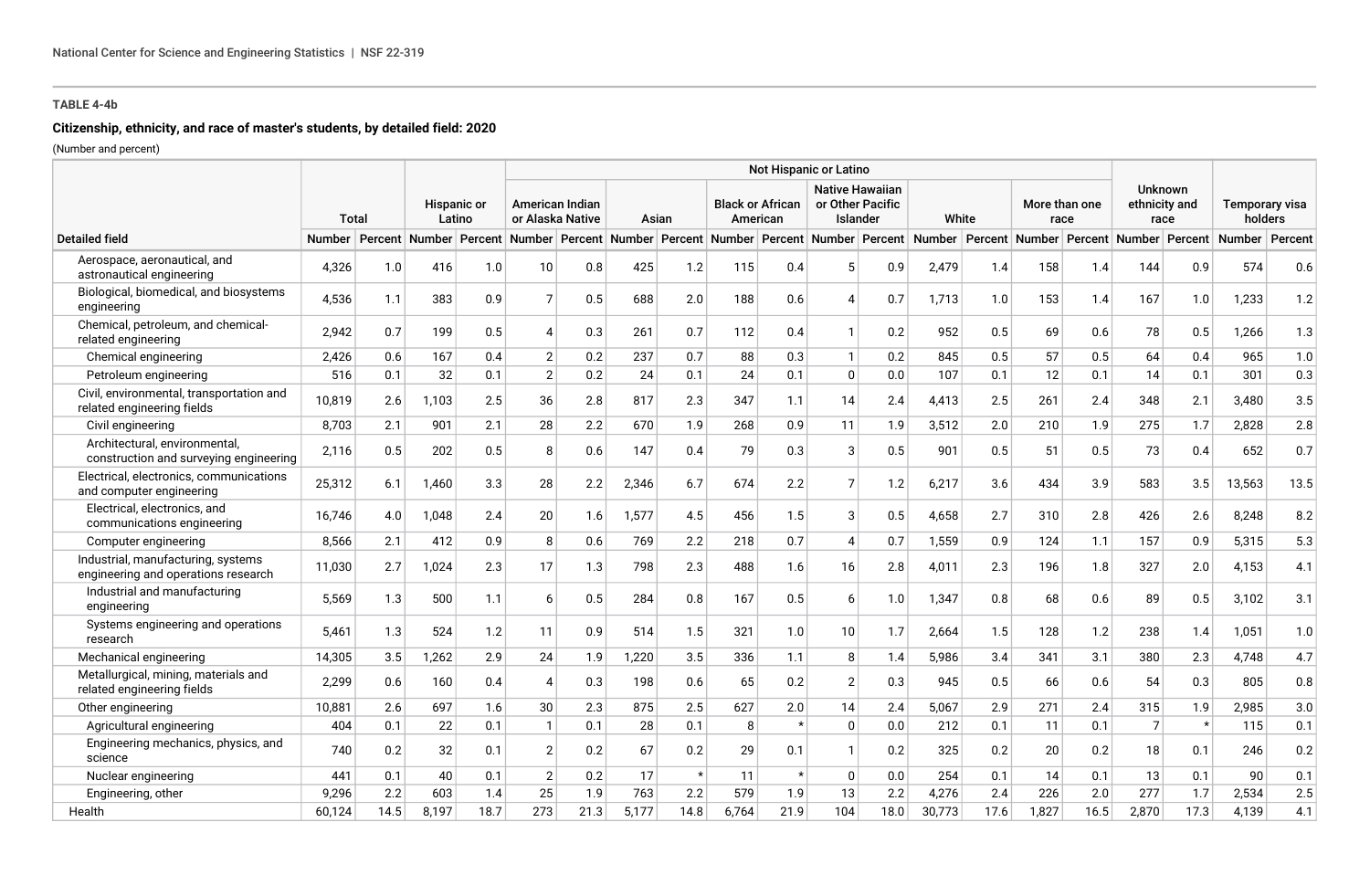# **Citizenship, ethnicity, and race of master's students, by detailed field: 2020**

|                                                                           |        |              |       |                              |                |                                     |       |         |       |                                     | Not Hispanic or Latino |                                                        |        |       |       |                       |                |                                         |                                                                                                                                                                                                                   |                                  |
|---------------------------------------------------------------------------|--------|--------------|-------|------------------------------|----------------|-------------------------------------|-------|---------|-------|-------------------------------------|------------------------|--------------------------------------------------------|--------|-------|-------|-----------------------|----------------|-----------------------------------------|-------------------------------------------------------------------------------------------------------------------------------------------------------------------------------------------------------------------|----------------------------------|
|                                                                           |        | <b>Total</b> |       | <b>Hispanic or</b><br>Latino |                | American Indian<br>or Alaska Native |       | Asian   |       | <b>Black or African</b><br>American |                        | <b>Native Hawaiian</b><br>or Other Pacific<br>Islander |        | White |       | More than one<br>race |                | <b>Unknown</b><br>ethnicity and<br>race |                                                                                                                                                                                                                   | <b>Temporary visa</b><br>holders |
| <b>Detailed field</b>                                                     |        |              |       |                              |                |                                     |       |         |       |                                     |                        |                                                        |        |       |       |                       |                |                                         | Number Percent Number Percent Number Percent Number Percent Number Percent Number Percent Number Percent Number Percent Number Percent Number Percent Number Percent Number Percent Number Percent Number Percent |                                  |
| Aerospace, aeronautical, and<br>astronautical engineering                 | 4,326  | 1.0          | 416   | 1.0                          | 10             | 0.8                                 | 425   | 1.2     | 115   | 0.4                                 |                        | 0.9                                                    | 2,479  | 1.4   | 158   | 1.4                   | 144            | 0.9                                     | 574                                                                                                                                                                                                               | 0.6                              |
| Biological, biomedical, and biosystems<br>engineering                     | 4,536  | 1.1          | 383   | 0.9                          |                | 0.5                                 | 688   | 2.0     | 188   | 0.6                                 | Δ                      | 0.7                                                    | 1,713  | 1.0   | 153   | 1.4                   | 167            | 1.0                                     | 1,233                                                                                                                                                                                                             | 1.2                              |
| Chemical, petroleum, and chemical-<br>related engineering                 | 2,942  | 0.7          | 199   | 0.5                          | 4              | 0.3                                 | 261   | 0.7     | 112   | 0.4                                 | 1                      | 0.2                                                    | 952    | 0.5   | 69    | 0.6                   | 78             | 0.5                                     | 1,266                                                                                                                                                                                                             | 1.3                              |
| Chemical engineering                                                      | 2,426  | 0.6          | 167   | 0.4                          | $\overline{2}$ | 0.2                                 | 237   | 0.7     | 88    | 0.3                                 | $\mathbf{1}$           | 0.2                                                    | 845    | 0.5   | 57    | 0.5                   | 64             | 0.4                                     | 965                                                                                                                                                                                                               | 1.0                              |
| Petroleum engineering                                                     | 516    | 0.1          | 32    | 0.1                          | $\overline{2}$ | 0.2                                 | 24    | 0.1     | 24    | 0.1                                 | $\Omega$               | 0.0                                                    | 107    | 0.1   | 12    | 0.1                   | 14             | 0.1                                     | 301                                                                                                                                                                                                               | 0.3                              |
| Civil, environmental, transportation and<br>related engineering fields    | 10.819 | 2.6          | 1.103 | 2.5                          | 36             | 2.8                                 | 817   | 2.3     | 347   | 1.1                                 | 14                     | 2.4                                                    | 4,413  | 2.5   | 261   | 2.4                   | 348            | 2.1                                     | 3,480                                                                                                                                                                                                             | 3.5                              |
| Civil engineering                                                         | 8,703  | 2.1          | 901   | 2.1                          | 28             | 2.2                                 | 670   | 1.9     | 268   | 0.9                                 | 11                     | 1.9                                                    | 3,512  | 2.0   | 210   | 1.9                   | 275            | 1.7                                     | 2,828                                                                                                                                                                                                             | 2.8                              |
| Architectural, environmental,<br>construction and surveying engineering   | 2,116  | 0.5          | 202   | 0.5                          | 8              | 0.6                                 | 147   | 0.4     | 79    | 0.3                                 | 3                      | 0.5                                                    | 901    | 0.5   | 51    | 0.5                   | 73             | 0.4                                     | 652                                                                                                                                                                                                               | 0.7                              |
| Electrical, electronics, communications<br>and computer engineering       | 25,312 | 6.1          | 1,460 | 3.3                          | 28             | 2.2                                 | 2,346 | 6.7     | 674   | 2.2                                 | 7                      | 1.2                                                    | 6,217  | 3.6   | 434   | 3.9                   | 583            | 3.5                                     | 13,563                                                                                                                                                                                                            | 13.5                             |
| Electrical, electronics, and<br>communications engineering                | 16,746 | 4.0          | 1,048 | 2.4                          | 20             | 1.6                                 | 1,577 | 4.5     | 456   | 1.5                                 | 3                      | 0.5                                                    | 4,658  | 2.7   | 310   | 2.8                   | 426            | 2.6                                     | 8,248                                                                                                                                                                                                             | 8.2                              |
| Computer engineering                                                      | 8,566  | 2.1          | 412   | 0.9                          | 8              | 0.6                                 | 769   | 2.2     | 218   | 0.7                                 | $\boldsymbol{\Delta}$  | 0.7                                                    | 1,559  | 0.9   | 124   | 1.1                   | 157            | 0.9                                     | 5,315                                                                                                                                                                                                             | 5.3                              |
| Industrial, manufacturing, systems<br>engineering and operations research | 11,030 | 2.7          | 1,024 | 2.3                          | 17             | 1.3                                 | 798   | 2.3     | 488   | 1.6                                 | 16                     | 2.8                                                    | 4,011  | 2.3   | 196   | 1.8                   | 327            | 2.0                                     | 4,153                                                                                                                                                                                                             | 4.1                              |
| Industrial and manufacturing<br>engineering                               | 5.569  | 1.3          | 500   | 1.1                          | 6              | 0.5                                 | 284   | 0.8     | 167   | 0.5                                 | 6                      | 1.0                                                    | 1,347  | 0.8   | 68    | 0.6                   | 89             | 0.5                                     | 3,102                                                                                                                                                                                                             | 3.1                              |
| Systems engineering and operations<br>research                            | 5.461  | 1.3          | 524   | 1.2                          | 11             | 0.9                                 | 514   | 1.5     | 321   | 1.0                                 | 10                     | 1.7                                                    | 2,664  | 1.5   | 128   | 1.2                   | 238            | 1.4                                     | 1,051                                                                                                                                                                                                             | 1.0                              |
| Mechanical engineering                                                    | 14,305 | 3.5          | 1,262 | 2.9                          | 24             | 1.9                                 | 1,220 | 3.5     | 336   | 1.1                                 | 8                      | 1.4                                                    | 5,986  | 3.4   | 341   | 3.1                   | 380            | 2.3                                     | 4,748                                                                                                                                                                                                             | 4.7                              |
| Metallurgical, mining, materials and<br>related engineering fields        | 2.299  | 0.6          | 160   | 0.4                          | $\Delta$       | 0.3                                 | 198   | 0.6     | 65    | 0.2                                 | $\mathfrak{p}$         | 0.3                                                    | 945    | 0.5   | 66    | 0.6                   | 54             | 0.3                                     | 805                                                                                                                                                                                                               | 0.8                              |
| Other engineering                                                         | 10,881 | 2.6          | 697   | 1.6                          | 30             | 2.3                                 | 875   | 2.5     | 627   | 2.0                                 | 14                     | 2.4                                                    | 5,067  | 2.9   | 271   | 2.4                   | 315            | 1.9                                     | 2,985                                                                                                                                                                                                             | 3.0                              |
| Agricultural engineering                                                  | 404    | 0.1          | 22    | 0.1                          | $\mathbf{1}$   | 0.1                                 | 28    | 0.1     | 8     |                                     | $\Omega$               | 0.0                                                    | 212    | 0.1   | 11    | 0.1                   | $\overline{7}$ |                                         | 115                                                                                                                                                                                                               | 0.1                              |
| Engineering mechanics, physics, and<br>science                            | 740    | 0.2          | 32    | 0.1                          | $\overline{2}$ | 0.2                                 | 67    | 0.2     | 29    | 0.1                                 | $\mathbf{1}$           | 0.2                                                    | 325    | 0.2   | 20    | 0.2                   | 18             | 0.1                                     | 246                                                                                                                                                                                                               | 0.2                              |
| Nuclear engineering                                                       | 441    | 0.1          | 40    | 0.1                          | 2              | 0.2                                 | 17    | $\star$ | 11    | $\star$                             | $\mathbf{0}$           | 0.0                                                    | 254    | 0.1   | 14    | 0.1                   | 13             | 0.1                                     | 90                                                                                                                                                                                                                | 0.1                              |
| Engineering, other                                                        | 9,296  | 2.2          | 603   | 1.4                          | 25             | 1.9                                 | 763   | 2.2     | 579   | 1.9                                 | 13                     | 2.2                                                    | 4,276  | 2.4   | 226   | 2.0                   | 277            | 1.7                                     | 2,534                                                                                                                                                                                                             | 2.5                              |
| Health                                                                    | 60,124 | 14.5         | 8,197 | 18.7                         | 273            | 21.3                                | 5,177 | 14.8    | 6,764 | 21.9                                | 104                    | 18.0                                                   | 30,773 | 17.6  | 1,827 | 16.5                  | 2,870          | 17.3                                    | 4,139                                                                                                                                                                                                             | 4.1                              |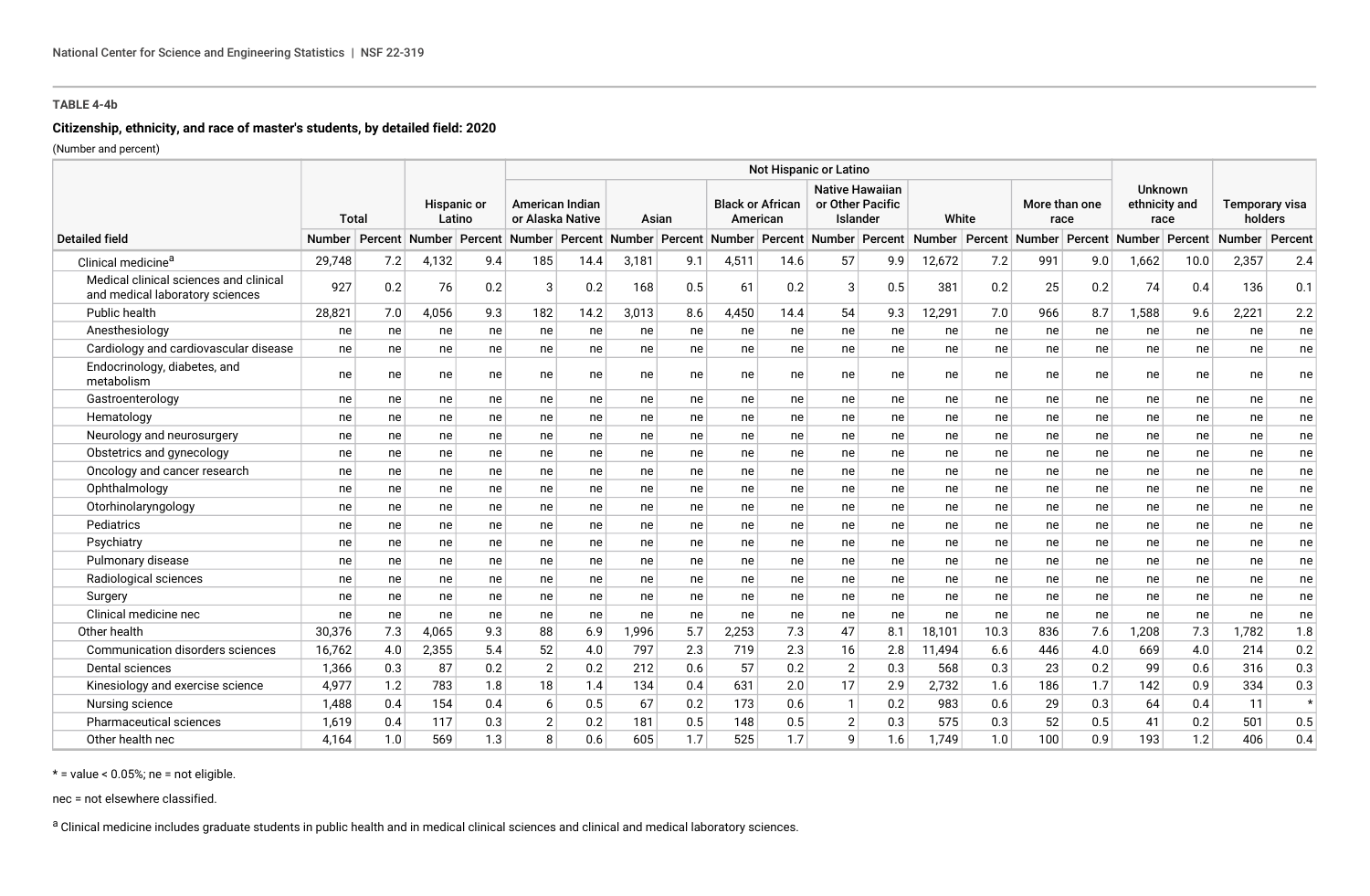### **Citizenship, ethnicity, and race of master's students, by detailed field: 2020**

(Number and percent)

|                                                                           |        |     |       |                       | Not Hispanic or Latino              |      |                                                                                           |     |       |                                     |                |                                                        |        |      |                                     |     |                                  |         |                                  |         |
|---------------------------------------------------------------------------|--------|-----|-------|-----------------------|-------------------------------------|------|-------------------------------------------------------------------------------------------|-----|-------|-------------------------------------|----------------|--------------------------------------------------------|--------|------|-------------------------------------|-----|----------------------------------|---------|----------------------------------|---------|
|                                                                           | Total  |     |       | Hispanic or<br>Latino | American Indian<br>or Alaska Native |      | Asian                                                                                     |     |       | <b>Black or African</b><br>American |                | <b>Native Hawaiian</b><br>or Other Pacific<br>Islander | White  |      | More than one<br>race               |     | Unknown<br>ethnicity and<br>race |         | <b>Temporary visa</b><br>holders |         |
| <b>Detailed field</b>                                                     |        |     |       |                       |                                     |      | Number Percent Number Percent Number Percent Number Percent Number Percent Number Percent |     |       |                                     |                |                                                        | Number |      | Percent   Number   Percent   Number |     |                                  | Percent | <b>Number</b>                    | Percent |
| Clinical medicine <sup>a</sup>                                            | 29,748 | 7.2 | 4,132 | 9.4                   | 185                                 | 14.4 | 3,181                                                                                     | 9.1 | 4,511 | 14.6                                | 57             | 9.9                                                    | 12,672 | 7.2  | 991                                 | 9.0 | 1,662                            | 10.0    | 2,357                            | 2.4     |
| Medical clinical sciences and clinical<br>and medical laboratory sciences | 927    | 0.2 | 76    | 0.2                   | 3                                   | 0.2  | 168                                                                                       | 0.5 | 61    | 0.2                                 | 3              | 0.5                                                    | 381    | 0.2  | 25                                  | 0.2 | 74                               | 0.4     | 136                              | 0.1     |
| Public health                                                             | 28,821 | 7.0 | 4,056 | 9.3                   | 182                                 | 14.2 | 3,013                                                                                     | 8.6 | 4,450 | 14.4                                | 54             | 9.3                                                    | 12,291 | 7.0  | 966                                 | 8.7 | 1,588                            | 9.6     | 2,221                            | 2.2     |
| Anesthesiology                                                            | ne     | ne  | ne    | ne                    | ne                                  | ne   | ne                                                                                        | ne  | ne    | ne                                  | ne             | ne                                                     | ne     | ne   | ne                                  | ne  | ne                               | ne      | ne                               | ne      |
| Cardiology and cardiovascular disease                                     | ne     | ne  | ne    | ne                    | ne                                  | ne   | ne                                                                                        | ne  | ne    | ne                                  | ne             | ne                                                     | ne     | ne   | ne                                  | ne  | ne                               | ne      | ne                               | ne      |
| Endocrinology, diabetes, and<br>metabolism                                | ne     | ne  | ne    | ne                    | ne                                  | ne   | ne                                                                                        | ne  | ne    | ne                                  | ne             | ne                                                     | ne     | ne   | ne                                  | ne  | ne                               | ne      | ne                               | ne      |
| Gastroenterology                                                          | ne     | ne  | ne    | ne                    | ne                                  | ne   | ne                                                                                        | ne  | ne    | ne                                  | ne             | ne                                                     | ne     | ne   | ne                                  | ne  | ne                               | ne      | ne                               | ne      |
| Hematology                                                                | ne     | ne  | ne    | ne                    | ne                                  | ne   | ne                                                                                        | ne  | ne    | ne                                  | ne             | ne                                                     | ne     | ne   | ne                                  | ne  | ne                               | ne      | ne                               | ne      |
| Neurology and neurosurgery                                                | ne     | ne  | ne    | ne                    | ne                                  | ne   | ne                                                                                        | ne  | ne    | ne                                  | ne             | ne                                                     | ne     | ne   | ne                                  | ne  | ne                               | ne      | ne                               | ne      |
| Obstetrics and gynecology                                                 | ne     | ne  | ne    | ne                    | ne                                  | ne   | ne                                                                                        | ne  | ne    | ne                                  | ne             | ne                                                     | ne     | ne   | ne                                  | ne  | ne                               | ne      | ne                               | ne      |
| Oncology and cancer research                                              | ne     | ne  | ne    | ne                    | ne                                  | ne   | ne                                                                                        | ne  | ne    | ne                                  | ne             | ne                                                     | ne     | ne   | ne                                  | ne  | ne                               | ne      | ne                               | ne      |
| Ophthalmology                                                             | ne     | ne  | ne    | ne                    | ne                                  | ne   | ne                                                                                        | ne  | ne    | ne                                  | ne             | ne                                                     | ne     | ne   | ne                                  | ne  | ne                               | ne      | ne                               | ne      |
| Otorhinolaryngology                                                       | ne     | ne  | ne    | ne                    | ne                                  | ne   | ne                                                                                        | ne  | ne    | ne                                  | ne             | ne                                                     | ne     | ne   | ne                                  | ne  | ne                               | ne      | ne                               | ne      |
| Pediatrics                                                                | ne     | ne  | ne    | ne                    | ne                                  | ne   | ne                                                                                        | ne  | ne    | ne                                  | ne             | ne                                                     | ne     | ne   | ne                                  | ne  | ne                               | ne      | ne                               | ne      |
| Psychiatry                                                                | ne     | ne  | ne    | ne                    | ne                                  | ne   | ne                                                                                        | ne  | ne    | ne                                  | ne             | ne                                                     | ne     | ne   | ne                                  | ne  | ne                               | ne      | ne                               | ne      |
| Pulmonary disease                                                         | ne     | ne  | ne    | ne                    | ne                                  | ne   | ne                                                                                        | ne  | ne    | ne                                  | ne             | ne                                                     | ne     | ne   | ne                                  | ne  | ne                               | ne      | ne                               | ne      |
| Radiological sciences                                                     | ne     | ne  | ne    | ne                    | ne                                  | ne   | ne                                                                                        | ne  | ne    | ne                                  | ne             | ne                                                     | ne     | ne   | ne                                  | ne  | ne                               | ne      | ne                               | ne      |
| Surgery                                                                   | ne     | ne  | ne    | ne                    | ne                                  | ne   | ne                                                                                        | ne  | ne    | ne                                  | ne             | ne                                                     | ne     | ne   | ne                                  | ne  | ne                               | ne      | ne                               | ne      |
| Clinical medicine nec                                                     | ne     | ne  | ne    | ne                    | ne                                  | ne   | ne                                                                                        | ne  | ne    | ne                                  | ne             | ne                                                     | ne     | ne   | ne                                  | ne  | ne                               | ne      | ne                               | ne      |
| Other health                                                              | 30,376 | 7.3 | 4,065 | 9.3                   | 88                                  | 6.9  | 1,996                                                                                     | 5.7 | 2,253 | 7.3                                 | 47             | 8.1                                                    | 18,101 | 10.3 | 836                                 | 7.6 | 1,208                            | 7.3     | 1,782                            | 1.8     |
| Communication disorders sciences                                          | 16,762 | 4.0 | 2,355 | 5.4                   | 52                                  | 4.0  | 797                                                                                       | 2.3 | 719   | 2.3                                 | 16             | 2.8                                                    | 11,494 | 6.6  | 446                                 | 4.0 | 669                              | 4.0     | 214                              | 0.2     |
| Dental sciences                                                           | 1,366  | 0.3 | 87    | 0.2                   | 2                                   | 0.2  | 212                                                                                       | 0.6 | 57    | 0.2                                 | $\overline{2}$ | 0.3                                                    | 568    | 0.3  | 23                                  | 0.2 | 99                               | 0.6     | 316                              | 0.3     |
| Kinesiology and exercise science                                          | 4,977  | 1.2 | 783   | 1.8                   | 18                                  | 1.4  | 134                                                                                       | 0.4 | 631   | 2.0                                 | 17             | 2.9                                                    | 2,732  | 1.6  | 186                                 | 1.7 | 142                              | 0.9     | 334                              | 0.3     |
| Nursing science                                                           | 1,488  | 0.4 | 154   | 0.4                   | 6                                   | 0.5  | 67                                                                                        | 0.2 | 173   | 0.6                                 | $\mathbf{1}$   | 0.2                                                    | 983    | 0.6  | 29                                  | 0.3 | 64                               | 0.4     | 11                               | $\star$ |
| Pharmaceutical sciences                                                   | 1,619  | 0.4 | 117   | 0.3                   | $\overline{2}$                      | 0.2  | 181                                                                                       | 0.5 | 148   | 0.5                                 | $\overline{2}$ | 0.3                                                    | 575    | 0.3  | 52                                  | 0.5 | 41                               | 0.2     | 501                              | 0.5     |
| Other health nec                                                          | 4,164  | 1.0 | 569   | 1.3                   | 8                                   | 0.6  | 605                                                                                       | 1.7 | 525   | 1.7                                 | 9              | 1.6                                                    | 1.749  | 1.0  | 100                                 | 0.9 | 193                              | 1.2     | 406                              | 0.4     |

 $*$  = value < 0.05%; ne = not eligible.

nec = not elsewhere classified.

a Clinical medicine includes graduate students in public health and in medical clinical sciences and clinical and medical laboratory sciences.